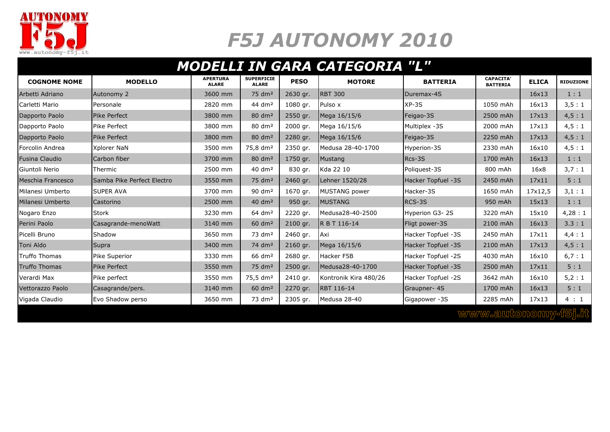

## *F5J AUTONOMY 2010*

## *MODELLI IN GARA CATEGORIA "L"*

| <b>COGNOME NOME</b>   | <b>MODELLO</b>                    | <b>APERTURA</b><br><b>ALARE</b> | <b>SUPERFICIE</b><br><b>ALARE</b> | <b>PESO</b> | <b>MOTORE</b>         | <b>BATTERIA</b>       | <b>CAPACITA'</b><br><b>BATTERIA</b> | <b>ELICA</b> | <b>RIDUZIONE</b> |
|-----------------------|-----------------------------------|---------------------------------|-----------------------------------|-------------|-----------------------|-----------------------|-------------------------------------|--------------|------------------|
| Arbetti Adriano       | Autonomy 2                        | 3600 mm                         | 75 dm <sup>2</sup>                | 2630 gr.    | <b>RBT 300</b>        | Duremax-4S            |                                     | 16x13        | 1:1              |
| Carletti Mario        | Personale                         | 2820 mm                         | 44 dm <sup>2</sup>                | 1080 gr.    | Pulso x               | $XP-3S$               | 1050 mAh                            | 16x13        | 3,5:1            |
| Dapporto Paolo        | <b>Pike Perfect</b>               | 3800 mm                         | 80 dm <sup>2</sup>                | 2550 gr.    | Mega 16/15/6          | Feigao-3S             | 2500 mAh                            | 17x13        | 4, 5 : 1         |
| Dapporto Paolo        | <b>Pike Perfect</b>               | 3800 mm                         | 80 dm <sup>2</sup>                | 2000 gr.    | Mega 16/15/6          | Multiplex -3S         | 2000 mAh                            | 17x13        | 4, 5 : 1         |
| Dapporto Paolo        | <b>Pike Perfect</b>               | 3800 mm                         | 80 dm <sup>2</sup>                | 2280 gr.    | Mega 16/15/6          | Feigao-3S             | 2250 mAh                            | 17x13        | 4,5:1            |
| Forcolin Andrea       | Xplorer NaN                       | 3500 mm                         | 75,8 dm <sup>2</sup>              | 2350 gr.    | Medusa 28-40-1700     | Hyperion-3S           | 2330 mAh                            | 16x10        | 4,5:1            |
| <b>Fusina Claudio</b> | Carbon fiber                      | 3700 mm                         | $80 \text{ dm}^2$                 | 1750 gr.    | Mustang               | Rcs-3S                | 1700 mAh                            | 16x13        | 1:1              |
| Giuntoli Nerio        | Thermic                           | 2500 mm                         | $40 \, \text{dm}^2$               | 830 gr.     | Kda 22 10             | Poliquest-3S          | 800 mAh                             | 16x8         | 3,7:1            |
| Meschia Francesco     | <b>Samba Pike Perfect Electro</b> | 3550 mm                         | 75 dm <sup>2</sup>                | 2460 gr.    | Lehner 1520/28        | Hacker Topfuel -3S    | 2450 mAh                            | 17x11        | 5:1              |
| Milanesi Umberto      | <b>SUPER AVA</b>                  | 3700 mm                         | 90 dm <sup>2</sup>                | 1670 gr.    | <b>MUSTANG</b> power  | Hacker-3S             | 1650 mAh                            | 17x12,5      | 3,1:1            |
| Milanesi Umberto      | Castorino                         | 2500 mm                         | $40 \text{ dm}^2$                 | 950 gr.     | <b>MUSTANG</b>        | RCS-3S                | 950 mAh                             | 15x13        | 1:1              |
| Nogaro Enzo           | <b>Stork</b>                      | 3230 mm                         | 64 dm <sup>2</sup>                | 2220 gr.    | Medusa28-40-2500      | <b>Hyperion G3-2S</b> | 3220 mAh                            | 15x10        | 4,28:1           |
| Perini Paolo          | Casagrande-menoWatt               | 3140 mm                         | 60 dm <sup>2</sup>                | 2100 gr.    | R B T 116-14          | Fligt power-3S        | 2100 mAh                            | 16x13        | 3.3:1            |
| Picelli Bruno         | Shadow                            | 3650 mm                         | 73 dm <sup>2</sup>                | 2460 gr.    | Axi                   | Hacker Topfuel -3S    | 2450 mAh                            | 17x11        | 4,4:1            |
| <b>Toni Aldo</b>      | <b>Supra</b>                      | 3400 mm                         | 74 dm <sup>2</sup>                | 2160 gr.    | Mega 16/15/6          | Hacker Topfuel -3S    | 2100 mAh                            | 17x13        | 4, 5 : 1         |
| <b>Truffo Thomas</b>  | Pike Superior                     | 3330 mm                         | 66 dm <sup>2</sup>                | 2680 gr.    | Hacker F5B            | Hacker Topfuel -2S    | 4030 mAh                            | 16x10        | 6.7:1            |
| <b>Truffo Thomas</b>  | <b>Pike Perfect</b>               | 3550 mm                         | 75 dm <sup>2</sup>                | 2500 gr.    | Medusa28-40-1700      | Hacker Topfuel -3S    | 2500 mAh                            | 17×11        | 5:1              |
| Verardi Max           | Pike perfect                      | 3550 mm                         | 75,5 dm <sup>2</sup>              | 2410 gr.    | Kontronik Kira 480/26 | Hacker Topfuel -2S    | 3642 mAh                            | 16×10        | 5,2:1            |
| Vettorazzo Paolo      | Casagrande/pers.                  | 3140 mm                         | $60$ dm <sup>2</sup>              | 2270 gr.    | <b>RBT 116-14</b>     | Graupner-4S           | 1700 mAh                            | 16x13        | 5:1              |
| Vigada Claudio        | Evo Shadow perso                  | 3650 mm                         | 73 dm <sup>2</sup>                | 2305 gr.    | Medusa 28-40          | Gigapower -3S         | 2285 mAh                            | 17x13        | 4:1              |

www.autonomy-f5j.it